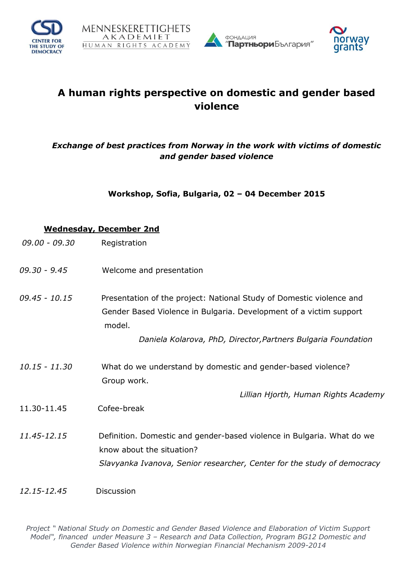







# **A human rights perspective on domestic and gender based violence**

# *Exchange of best practices from Norway in the work with victims of domestic and gender based violence*

**Workshop, Sofia, Bulgaria, 02 – 04 December 2015**

### **Wednesday, December 2nd**

- *09.00 - 09.30* Registration
- *09.30 - 9.45* Welcome and presentation
- *09.45 - 10.15* Presentation of the project: National Study of Domestic violence and Gender Based Violence in Bulgaria. Development of a victim support model.

 *Daniela Kolarova, PhD, Director,Partners Bulgaria Foundation*

*10.15 - 11.30* What do we understand by domestic and gender-based violence? Group work.

*Lillian Hjorth, Human Rights Academy*

- 11.30-11.45Cofee-break
- *11.45-12.15* Definition. Domestic and gender-based violence in Bulgaria. What do we know about the situation?  *Slavyanka Ivanova, Senior researcher, Center for the study of democracy*

#### *12.15-12.45* Discussion

*Project " National Study on Domestic and Gender Based Violence and Elaboration of Victim Support Model", financed under Measure 3 – Research and Data Collection, Program BG12 Domestic and Gender Based Violence within Norwegian Financial Mechanism 2009-2014*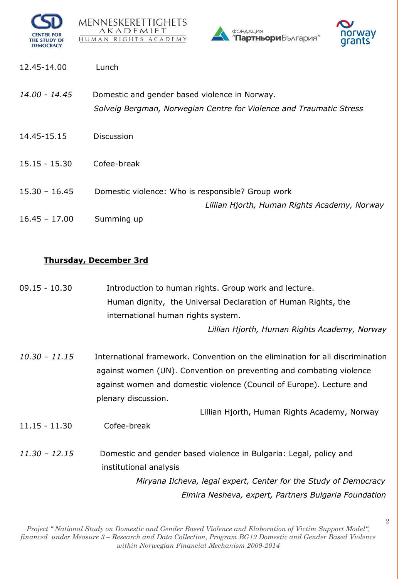







- 12.45-14.00 Lunch
- *14.00 - 14.45* Domestic and gender based violence in Norway.  *Solveig Bergman, Norwegian Centre for Violence and Traumatic Stress*
- 14.45-15.15 Discussion
- 15.15 15.30 Cofee-break
- 15.30 16.45 Domestic violence: Who is responsible? Group work *Lillian Hjorth, Human Rights Academy, Norway*
- 16.45 17.00 Summing up

## **Thursday, December 3rd**

09.15 - 10.30 Introduction to human rights. Group work and lecture. Human dignity, the Universal Declaration of Human Rights, the international human rights system.

*Lillian Hjorth, Human Rights Academy, Norway* 

*10.30 – 11.15* International framework. Convention on the elimination for all discrimination against women (UN). Convention on preventing and combating violence against women and domestic violence (Council of Europe). Lecture and plenary discussion.

Lillian Hjorth, Human Rights Academy, Norway

- 11.15 11.30 Cofee-break
- *11.30 – 12.15* Domestic and gender based violence in Bulgaria: Legal, policy and institutional analysis *Miryana Ilcheva, legal expert, Center for the Study of Democracy*

 *Elmira Nesheva, expert, Partners Bulgaria Foundation*

2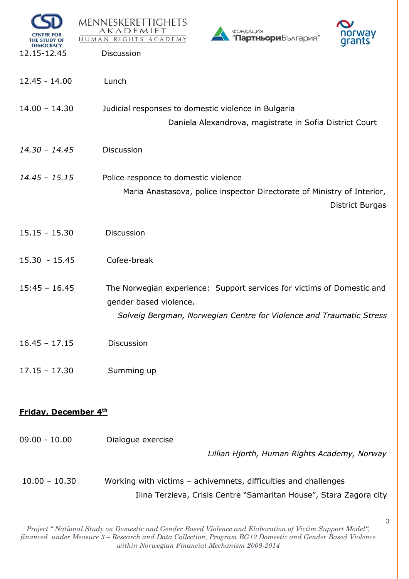| <b>CENTER FOR</b><br>THE STUDY OF<br><b>DEMOCRACY</b><br>12.15-12.45 | MENNESKERETTIGHETS<br>AKADEMIET<br>ФОНДАЦИЯ<br>norway<br>"Партньори България"<br>HUMAN RIGHTS ACADEMY<br>qrants<br>Discussion                                           |
|----------------------------------------------------------------------|-------------------------------------------------------------------------------------------------------------------------------------------------------------------------|
| $12.45 - 14.00$                                                      | Lunch                                                                                                                                                                   |
| $14.00 - 14.30$                                                      | Judicial responses to domestic violence in Bulgaria<br>Daniela Alexandrova, magistrate in Sofia District Court                                                          |
| $14.30 - 14.45$                                                      | <b>Discussion</b>                                                                                                                                                       |
| $14.45 - 15.15$                                                      | Police responce to domestic violence<br>Maria Anastasova, police inspector Directorate of Ministry of Interior,<br><b>District Burgas</b>                               |
| $15.15 - 15.30$                                                      | <b>Discussion</b>                                                                                                                                                       |
| $15.30 - 15.45$                                                      | Cofee-break                                                                                                                                                             |
| $15:45 - 16.45$                                                      | The Norwegian experience: Support services for victims of Domestic and<br>gender based violence.<br>Solveig Bergman, Norwegian Centre for Violence and Traumatic Stress |
| $16.45 - 17.15$                                                      | Discussion                                                                                                                                                              |
| $17.15 - 17.30$                                                      | Summing up                                                                                                                                                              |
| <b>Friday, December 4th</b>                                          |                                                                                                                                                                         |
| $09.00 - 10.00$                                                      | Dialogue exercise<br>Lillian Hjorth, Human Rights Academy, Norway                                                                                                       |
| $10.00 - 10.30$                                                      | Working with victims - achivemnets, difficulties and challenges<br>Ilina Terzieva, Crisis Centre "Samaritan House", Stara Zagora city                                   |

*Project " National Study on Domestic and Gender Based Violence and Elaboration of Victim Support Model", financed under Measure 3 – Research and Data Collection, Program BG12 Domestic and Gender Based Violence within Norwegian Financial Mechanism 2009-2014* 

3